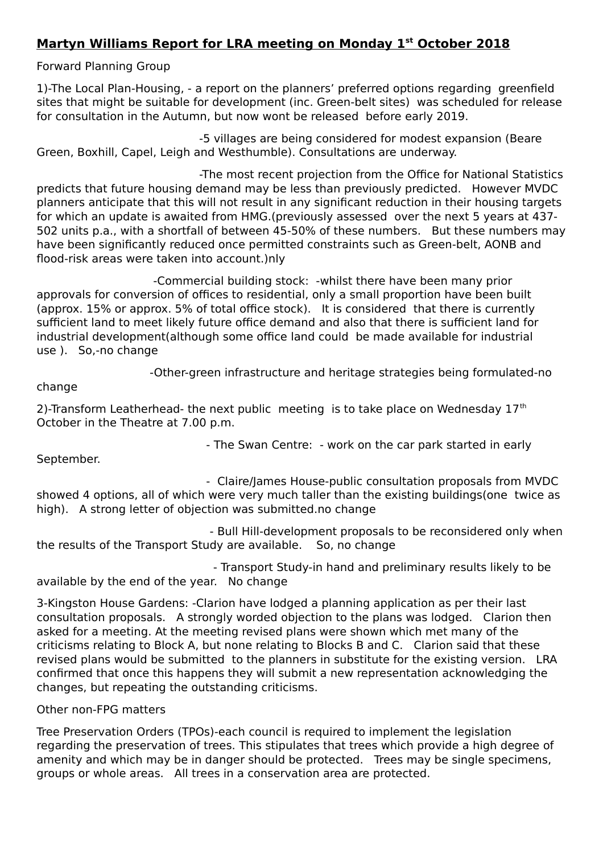## **Martyn Williams Report for LRA meeting on Monday 1st October 2018**

Forward Planning Group

1)-The Local Plan-Housing, - a report on the planners' preferred options regarding greenfield sites that might be suitable for development (inc. Green-belt sites) was scheduled for release for consultation in the Autumn, but now wont be released before early 2019.

 -5 villages are being considered for modest expansion (Beare Green, Boxhill, Capel, Leigh and Westhumble). Consultations are underway.

 -The most recent projection from the Office for National Statistics predicts that future housing demand may be less than previously predicted. However MVDC planners anticipate that this will not result in any significant reduction in their housing targets for which an update is awaited from HMG.(previously assessed over the next 5 years at 437- 502 units p.a., with a shortfall of between 45-50% of these numbers. But these numbers may have been significantly reduced once permitted constraints such as Green-belt, AONB and flood-risk areas were taken into account.)nly

 -Commercial building stock: -whilst there have been many prior approvals for conversion of offices to residential, only a small proportion have been built (approx. 15% or approx. 5% of total office stock). It is considered that there is currently sufficient land to meet likely future office demand and also that there is sufficient land for industrial development(although some office land could be made available for industrial use ). So,-no change

-Other-green infrastructure and heritage strategies being formulated-no

- The Swan Centre: - work on the car park started in early

change

2)-Transform Leatherhead- the next public meeting is to take place on Wednesday  $17<sup>th</sup>$ October in the Theatre at 7.00 p.m.

September.

 - Claire/James House-public consultation proposals from MVDC showed 4 options, all of which were very much taller than the existing buildings(one twice as high). A strong letter of objection was submitted.no change

 - Bull Hill-development proposals to be reconsidered only when the results of the Transport Study are available. So, no change

 - Transport Study-in hand and preliminary results likely to be available by the end of the year. No change

3-Kingston House Gardens: -Clarion have lodged a planning application as per their last consultation proposals. A strongly worded objection to the plans was lodged. Clarion then asked for a meeting. At the meeting revised plans were shown which met many of the criticisms relating to Block A, but none relating to Blocks B and C. Clarion said that these revised plans would be submitted to the planners in substitute for the existing version. LRA confirmed that once this happens they will submit a new representation acknowledging the changes, but repeating the outstanding criticisms.

Other non-FPG matters

Tree Preservation Orders (TPOs)-each council is required to implement the legislation regarding the preservation of trees. This stipulates that trees which provide a high degree of amenity and which may be in danger should be protected. Trees may be single specimens, groups or whole areas. All trees in a conservation area are protected.